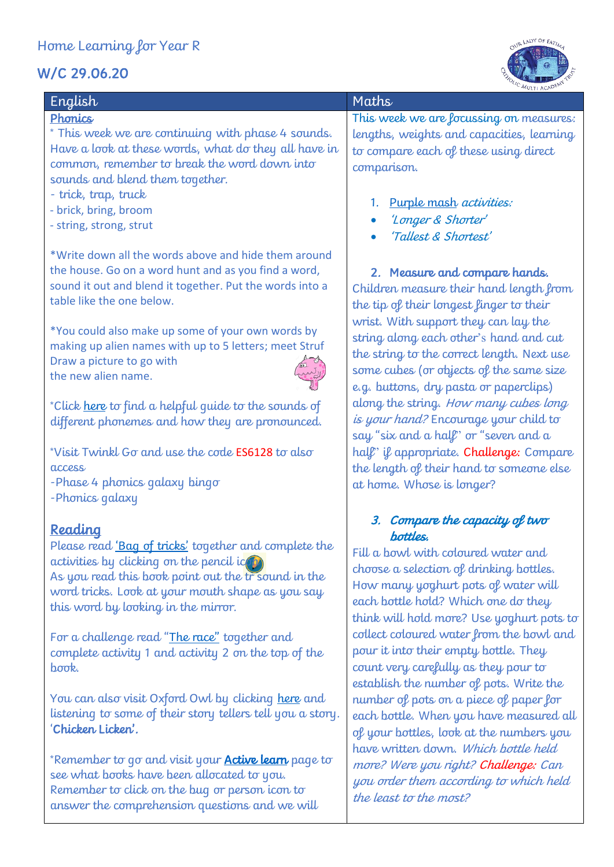# W/C 29.06.20



| English                                                                             | Maths    |
|-------------------------------------------------------------------------------------|----------|
| Phonics                                                                             | This wi  |
| * This week we are continuing with phase 4 sounds.                                  | lengths  |
| Have a look at these words, what do they all have in                                | to com   |
| common, remember to break the word down into<br>sounds and blend them together.     | compai   |
| - trick, trap, truck                                                                | 1.       |
| - brick, bring, broom                                                               |          |
| - string, strong, strut                                                             |          |
| *Write down all the words above and hide them around                                |          |
| the house. Go on a word hunt and as you find a word,                                | 2.       |
| sound it out and blend it together. Put the words into a                            | Childre  |
| table like the one below.                                                           | the tip  |
|                                                                                     | wrist.   |
| *You could also make up some of your own words by                                   | string o |
| making up alien names with up to 5 letters; meet Struf<br>Draw a picture to go with | the stri |
| the new alien name.                                                                 | some c   |
|                                                                                     | e.g. bu  |
| *Click <u>here</u> to find a helpful quide to the sounds of                         | along t  |
| different phonemes and how they are pronounced.                                     | is your  |
|                                                                                     | say "si  |
| *Visit Twinkl Go and use the code ES6128 to also                                    | half' if |
| access                                                                              | the len  |
| -Phase 4 phonics galaxy bingo                                                       | at hom   |

## -Phonics galaxy

## Reading

Please read '[Bag of tricks](https://www.oxfordowl.co.uk/api/interactives/12987.html)' together and complete the  $\alpha$  activities by clicking on the pencil icon As you read this book point out the tr sound in the word tricks. Look at your mouth shape as you say this word by looking in the mirror.

For a challenge read "[The race](https://www.oxfordowl.co.uk/api/digital_books/1423.html)" together and complete activity 1 and activity 2 on the top of the book.

You can also visit Oxford Owl by clicking [here](https://home.oxfordowl.co.uk/storyteller-videos/storyteller-videos-traditional-tales/) and listening to some of their story tellers tell you a story. 'Chicken. Licken'

\*Remember to go and visit your **Active learn** page to see what books have been allocated to you. Remember to click on the bug or person icon to answer the comprehension questions and we will

This week we are focussing on measures: lengths, weights and capacities, learning to compare each of these using direct comparison.

- 1. [Purple mash](https://www.purplemash.com/sch/stlukescm19) *activities:*
- 'Longer & Shorter'
- 'Tallest & Shortest'

## 2. Measure and compare hands.

Children measure their hand length from the tip of their longest finger to their wrist. With support they can lay the string along each other's hand and cut the string to the correct length. Next use some cubes (or objects of the same size e.g. buttons, dry pasta or paperclips) along the string. How many cubes long is your hand? Encourage your child to ay "six and a half" or "seven and a ralf" if appropriate. Challenge: Compare the length of their hand to someone else at home. Whose is longer?

#### 3. Compare the capacity of two bottles.

Fill a bowl with coloured water and choose a selection of drinking bottles. How many yoghurt pots of water will each bottle hold? Which one do they think will hold more? Use yoghurt pots to collect coloured water from the bowl and pour it into their empty bottle. They count very carefully as they pour to establish the number of pots. Write the number of pots on a piece of paper for each bottle. When you have measured all of your bottles, look at the numbers you have written down. Which bottle held more? Were you right? Challenge: Can you order them according to which held the least to the most?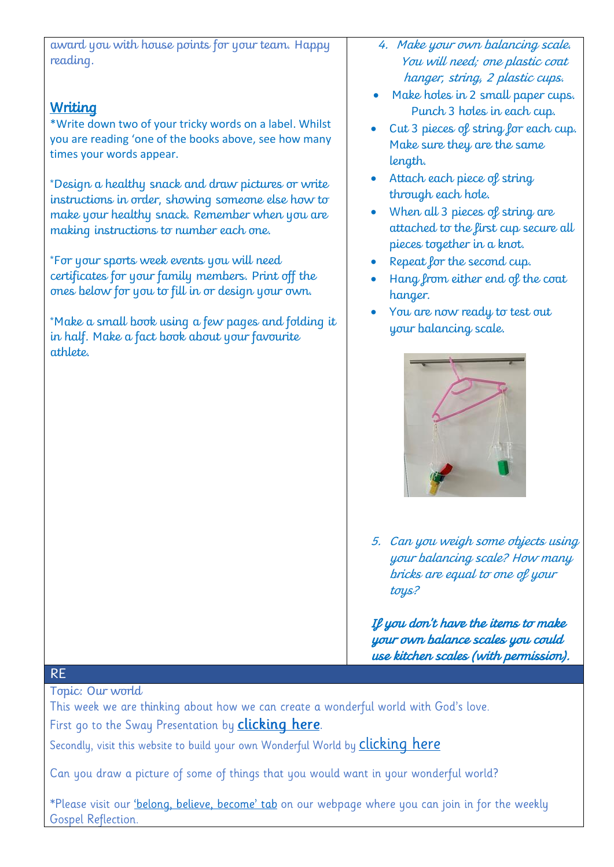award you with house points for your team. Happy reading.

## **Writing**

\*Write down two of your tricky words on a label. Whilst you are reading 'one of the books above, see how many times your words appear.

\*Design a healthy snack and draw pictures or write instructions in order, showing someone else how to make your healthy snack. Remember when you are making instructions to number each one.

\*For your sports week events you will need certificates for your family members. Print off the ones below for you to fill in or design your own.

\*Make a small book using a few pages and folding it in half. Make a fact book about your favourite athlete.

- 4. Make your own balancing scale. You will need; one plastic coat hanger, string, 2 plastic cups.
- Make holes in 2 small paper cups. Punch 3 holes in each cup.
- Cut 3 pieces of string for each cup. Make sure they are the same length.
- Attach each piece of string through each hole.
- When all 3 pieces of string are attached to the first cup secure all pieces together in a knot.
- Repeat for the second cup.
- Hang from either end of the coat hanger.
- You are now ready to test out your balancing scale.



5. Can you weigh some objects using your balancing scale? How many bricks are equal to one of your toys?

If you don't have the items to make your own balance scales you could use kitchen scales (with permission).

## RE

Topic: Our world

This week we are thinking about how we can create a wonderful world with God's love. First go to the Sway Presentation by **clicking here**.

Secondly, visit this website to build your own Wonderful World by **clicking here** 

Can you draw a picture of some of things that you would want in your wonderful world?

\*Please visit our *'belong, believe, become' tab* on our webpage where you can join in for the weekly Gospel Reflection.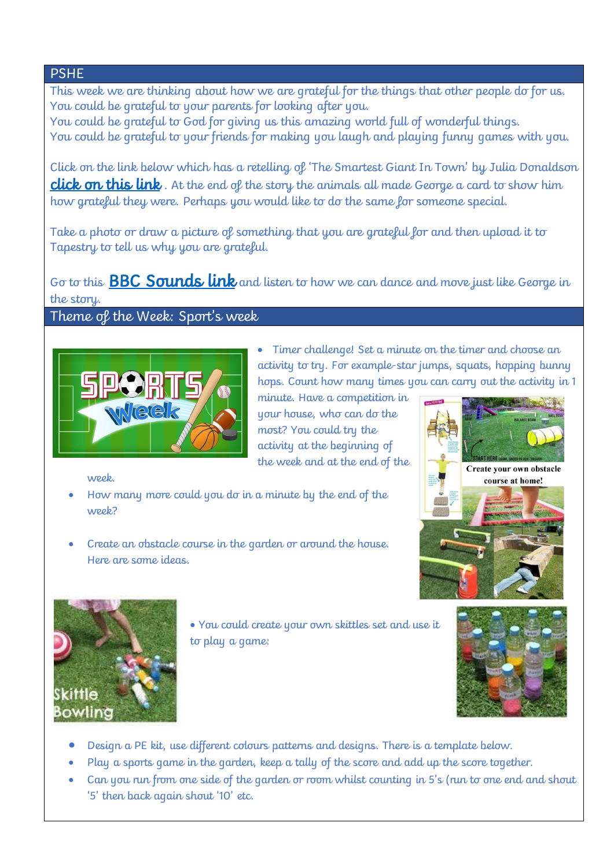### PSHE

This week we are thinking about how we are grateful for the things that other people do for us. You could be grateful to your parents for looking after you. You could be grateful to God for giving us this amazing world full of wonderful things.

You could be grateful to your friends for making you laugh and playing funny games with you.

Click on the link below which has a retelling of 'The Smartest Giant In Town' by Julia Donaldson **[click on this link](https://sway.office.com/x8Am2WvVXk5lbdm2?ref=Link)**. At the end of the story the animals all made George a card to show him how grateful they were. Perhaps you would like to do the same for someone special.

Take a photo or draw a picture of something that you are grateful for and then upload it to Tapestry to tell us why you are grateful.

Go to this **BBC Sounds link** and listen to how we can dance and move just like George in the story.

#### Theme of the Week: Sport's week



 Timer challenge! Set a minute on the timer and choose an activity to try. For example-star jumps, squats, hopping bunny hops. Count how many times you can carry out the activity in 1

minute. Have a competition in your house, who can do the most? You could try the activity at the beginning of the week and at the end of the

week.

- How many more could you do in a minute by the end of the week?
- Create an obstacle course in the garden or around the house. Here are some ideas.





 You could create your own skittles set and use it to play a game:



- Design a PE kit, use different colours patterns and designs. There is a template below.
- Play a sports game in the garden, keep a tally of the score and add up the score together.
- Can you run from one side of the garden or room whilst counting in 5's (run to one end and shout '5' then back again shout '10' etc.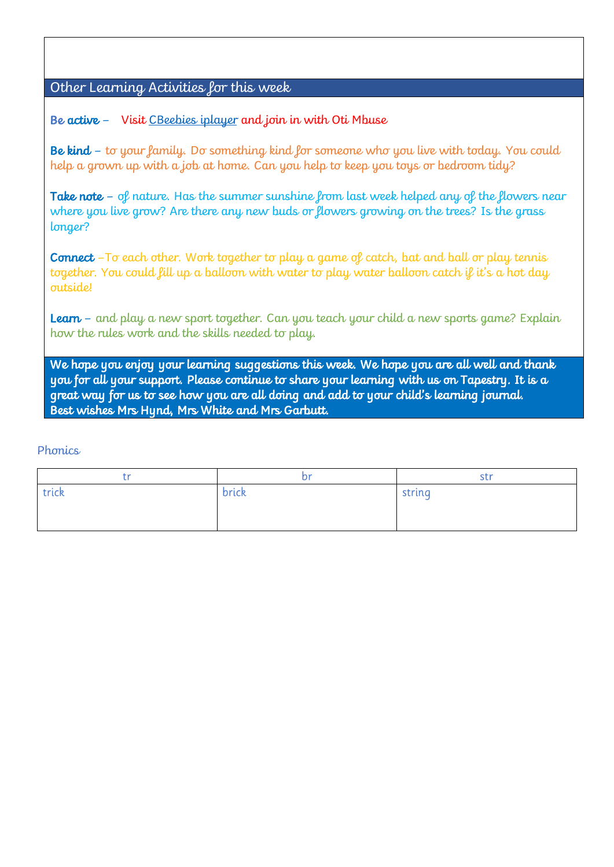## Other Learning Activities for this week

Be active – Visit [CBeebies iplayer](https://www.bbc.co.uk/iplayer/episode/m000k4w2/otis-boogie-beebies-series-1-11-up-down-and-around) and join in with Oti Mbuse

Be kind – to your family. Do something kind for someone who you live with today. You could help a grown up with a job at home. Can you help to keep you toys or bedroom tidy?

Take note – of nature. Has the summer sunshine from last week helped any of the flowers near where you live grow? Are there any new buds or flowers growing on the trees? Is the grass longer?

Connect -To each other. Work together to play a game of catch, bat and ball or play tennis together. You could fill up a balloon with water to play water balloon catch if it's a hot day outside!

**Learn** – and play a new sport together. Can you teach your child a new sports game? Explain how the rules work and the skills needed to play.

We hope you enjoy your learning suggestions this week. We hope you are all well and thank you for all your support. Please continue to share your learning with us on Tapestry. It is a great way for us to see how you are all doing and add to your child's learning journal. Best wishes Mrs Hynd, Mrs White and Mrs Garbutt.

#### **Phonics**

| <b>+ 10</b> | hr    | str.   |
|-------------|-------|--------|
| trick       | brick | string |
|             |       |        |
|             |       |        |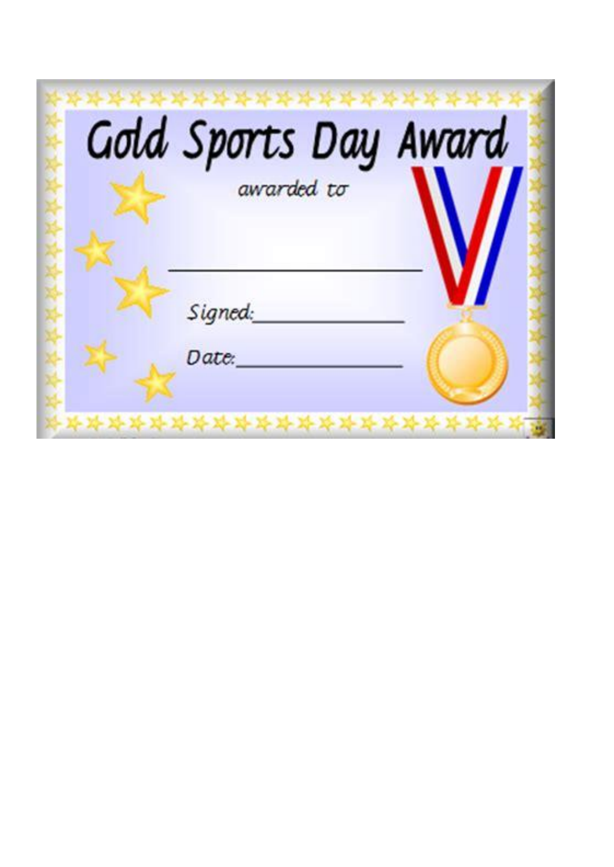